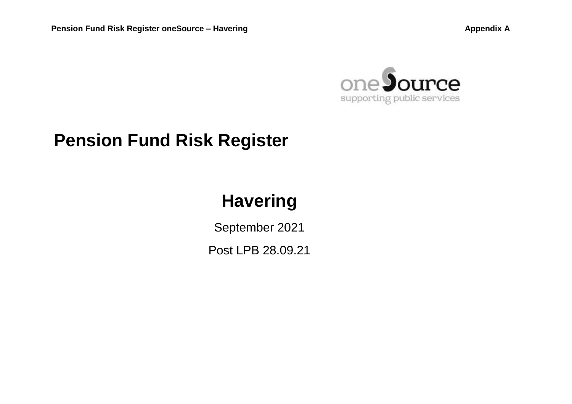

# **Pension Fund Risk Register**

# **Havering**

September 2021 Post LPB [28.09.21](https://28.09.21)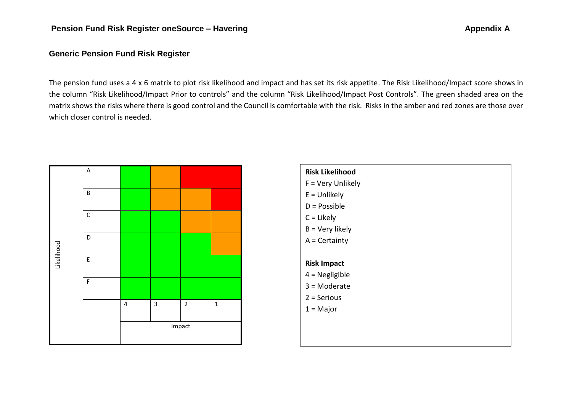### **Generic Pension Fund Risk Register**

 The pension fund uses a 4 x 6 matrix to plot risk likelihood and impact and has set its risk appetite. The Risk Likelihood/Impact score shows in the column "Risk Likelihood/Impact Prior to controls" and the column "Risk Likelihood/Impact Post Controls". The green shaded area on the matrix shows the risks where there is good control and the Council is comfortable with the risk. Risks in the amber and red zones are those over which closer control is needed.



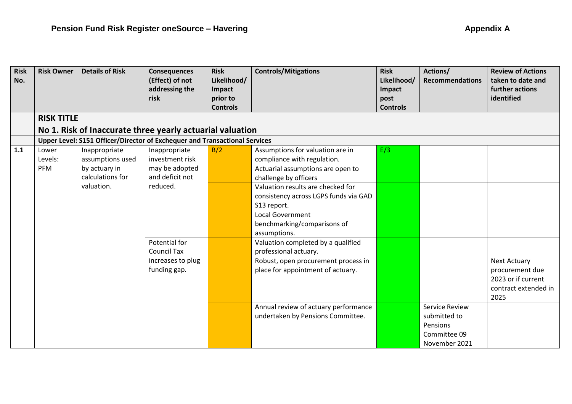| <b>Risk</b><br>No. | <b>Risk Owner</b> | <b>Details of Risk</b>                                                     | <b>Consequences</b><br>(Effect) of not<br>addressing the<br>risk | <b>Risk</b><br>Likelihood/<br>Impact<br>prior to<br><b>Controls</b> | <b>Controls/Mitigations</b>                                                               | <b>Risk</b><br>Likelihood/<br>Impact<br>post<br><b>Controls</b> | Actions/<br><b>Recommendations</b>                                          | <b>Review of Actions</b><br>taken to date and<br>further actions<br>identified               |
|--------------------|-------------------|----------------------------------------------------------------------------|------------------------------------------------------------------|---------------------------------------------------------------------|-------------------------------------------------------------------------------------------|-----------------------------------------------------------------|-----------------------------------------------------------------------------|----------------------------------------------------------------------------------------------|
|                    | <b>RISK TITLE</b> |                                                                            |                                                                  |                                                                     |                                                                                           |                                                                 |                                                                             |                                                                                              |
|                    |                   | No 1. Risk of Inaccurate three yearly actuarial valuation                  |                                                                  |                                                                     |                                                                                           |                                                                 |                                                                             |                                                                                              |
|                    |                   | Upper Level: S151 Officer/Director of Exchequer and Transactional Services |                                                                  |                                                                     |                                                                                           |                                                                 |                                                                             |                                                                                              |
| 1.1                | Lower<br>Levels:  | Inappropriate<br>assumptions used                                          | Inappropriate<br>investment risk                                 | B/2                                                                 | Assumptions for valuation are in<br>compliance with regulation.                           | E/3                                                             |                                                                             |                                                                                              |
|                    | PFM               | by actuary in<br>calculations for                                          | may be adopted<br>and deficit not                                |                                                                     | Actuarial assumptions are open to<br>challenge by officers                                |                                                                 |                                                                             |                                                                                              |
|                    |                   | valuation.                                                                 | reduced.                                                         |                                                                     | Valuation results are checked for<br>consistency across LGPS funds via GAD<br>S13 report. |                                                                 |                                                                             |                                                                                              |
|                    |                   |                                                                            |                                                                  |                                                                     | <b>Local Government</b><br>benchmarking/comparisons of<br>assumptions.                    |                                                                 |                                                                             |                                                                                              |
|                    |                   |                                                                            | <b>Potential for</b><br><b>Council Tax</b>                       |                                                                     | Valuation completed by a qualified<br>professional actuary.                               |                                                                 |                                                                             |                                                                                              |
|                    |                   |                                                                            | increases to plug<br>funding gap.                                |                                                                     | Robust, open procurement process in<br>place for appointment of actuary.                  |                                                                 |                                                                             | <b>Next Actuary</b><br>procurement due<br>2023 or if current<br>contract extended in<br>2025 |
|                    |                   |                                                                            |                                                                  |                                                                     | Annual review of actuary performance<br>undertaken by Pensions Committee.                 |                                                                 | Service Review<br>submitted to<br>Pensions<br>Committee 09<br>November 2021 |                                                                                              |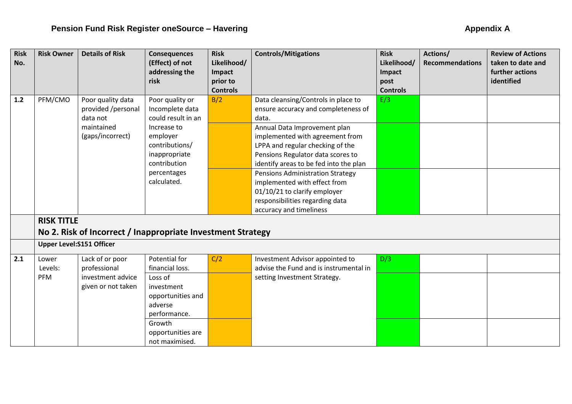| <b>Risk</b><br>No. | <b>Risk Owner</b>               | <b>Details of Risk</b>                                                                | <b>Consequences</b><br>(Effect) of not<br>addressing the                                                                                                             | <b>Risk</b><br>Likelihood/<br>Impact | <b>Controls/Mitigations</b>                                                                                                                                                                                                                                                                                                                                                                                                                 | <b>Risk</b><br>Likelihood/<br>Impact | Actions/<br><b>Recommendations</b> | <b>Review of Actions</b><br>taken to date and<br>further actions |
|--------------------|---------------------------------|---------------------------------------------------------------------------------------|----------------------------------------------------------------------------------------------------------------------------------------------------------------------|--------------------------------------|---------------------------------------------------------------------------------------------------------------------------------------------------------------------------------------------------------------------------------------------------------------------------------------------------------------------------------------------------------------------------------------------------------------------------------------------|--------------------------------------|------------------------------------|------------------------------------------------------------------|
|                    |                                 |                                                                                       | risk                                                                                                                                                                 | prior to<br><b>Controls</b>          |                                                                                                                                                                                                                                                                                                                                                                                                                                             | post<br><b>Controls</b>              |                                    | identified                                                       |
| $1.2$              | PFM/CMO                         | Poor quality data<br>provided /personal<br>data not<br>maintained<br>(gaps/incorrect) | Poor quality or<br>Incomplete data<br>could result in an<br>Increase to<br>employer<br>contributions/<br>inappropriate<br>contribution<br>percentages<br>calculated. | B/2                                  | Data cleansing/Controls in place to<br>ensure accuracy and completeness of<br>data.<br>Annual Data Improvement plan<br>implemented with agreement from<br>LPPA and regular checking of the<br>Pensions Regulator data scores to<br>identify areas to be fed into the plan<br>Pensions Administration Strategy<br>implemented with effect from<br>01/10/21 to clarify employer<br>responsibilities regarding data<br>accuracy and timeliness | E/3                                  |                                    |                                                                  |
|                    | <b>RISK TITLE</b>               |                                                                                       |                                                                                                                                                                      |                                      |                                                                                                                                                                                                                                                                                                                                                                                                                                             |                                      |                                    |                                                                  |
|                    |                                 | No 2. Risk of Incorrect / Inappropriate Investment Strategy                           |                                                                                                                                                                      |                                      |                                                                                                                                                                                                                                                                                                                                                                                                                                             |                                      |                                    |                                                                  |
|                    | <b>Upper Level:S151 Officer</b> |                                                                                       |                                                                                                                                                                      |                                      |                                                                                                                                                                                                                                                                                                                                                                                                                                             |                                      |                                    |                                                                  |
| 2.1                | Lower<br>Levels:                | Lack of or poor<br>professional                                                       | Potential for<br>financial loss.                                                                                                                                     | C/2                                  | Investment Advisor appointed to<br>advise the Fund and is instrumental in                                                                                                                                                                                                                                                                                                                                                                   | D/3                                  |                                    |                                                                  |
|                    | PFM                             | investment advice<br>given or not taken                                               | Loss of<br>investment<br>opportunities and<br>adverse<br>performance.<br>Growth<br>opportunities are<br>not maximised.                                               |                                      | setting Investment Strategy.                                                                                                                                                                                                                                                                                                                                                                                                                |                                      |                                    |                                                                  |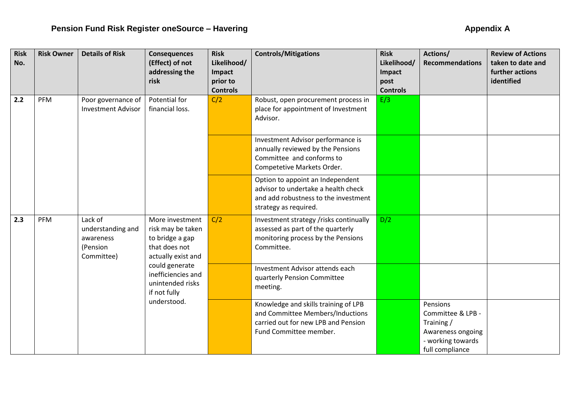| <b>Risk</b><br>No. | <b>Risk Owner</b> | <b>Details of Risk</b>                                                                                                                                                                                                                            | <b>Consequences</b><br>(Effect) of not<br>addressing the<br>risk | <b>Risk</b><br>Likelihood/<br>Impact<br>prior to                                                                                  | <b>Controls/Mitigations</b>                                                                                                               | <b>Risk</b><br>Likelihood/<br>Impact<br>post | Actions/<br><b>Recommendations</b>                                                                      | <b>Review of Actions</b><br>taken to date and<br>further actions<br>identified |
|--------------------|-------------------|---------------------------------------------------------------------------------------------------------------------------------------------------------------------------------------------------------------------------------------------------|------------------------------------------------------------------|-----------------------------------------------------------------------------------------------------------------------------------|-------------------------------------------------------------------------------------------------------------------------------------------|----------------------------------------------|---------------------------------------------------------------------------------------------------------|--------------------------------------------------------------------------------|
| 2.2                | PFM               | Poor governance of<br><b>Investment Advisor</b>                                                                                                                                                                                                   | Potential for<br>financial loss.                                 | <b>Controls</b><br>C/2                                                                                                            | Robust, open procurement process in<br>place for appointment of Investment<br>Advisor.                                                    | <b>Controls</b><br>E/3                       |                                                                                                         |                                                                                |
|                    |                   |                                                                                                                                                                                                                                                   |                                                                  | Investment Advisor performance is<br>annually reviewed by the Pensions<br>Committee and conforms to<br>Competetive Markets Order. |                                                                                                                                           |                                              |                                                                                                         |                                                                                |
|                    |                   |                                                                                                                                                                                                                                                   |                                                                  |                                                                                                                                   | Option to appoint an Independent<br>advisor to undertake a health check<br>and add robustness to the investment<br>strategy as required.  |                                              |                                                                                                         |                                                                                |
| 2.3                | PFM               | Lack of<br>More investment<br>understanding and<br>risk may be taken<br>to bridge a gap<br>awareness<br>that does not<br>(Pension<br>Committee)<br>actually exist and<br>could generate<br>inefficiencies and<br>unintended risks<br>if not fully |                                                                  | C/2                                                                                                                               | Investment strategy /risks continually<br>assessed as part of the quarterly<br>monitoring process by the Pensions<br>Committee.           | D/2                                          |                                                                                                         |                                                                                |
|                    |                   |                                                                                                                                                                                                                                                   |                                                                  | Investment Advisor attends each<br>quarterly Pension Committee<br>meeting.                                                        |                                                                                                                                           |                                              |                                                                                                         |                                                                                |
|                    |                   |                                                                                                                                                                                                                                                   | understood.                                                      |                                                                                                                                   | Knowledge and skills training of LPB<br>and Committee Members/Inductions<br>carried out for new LPB and Pension<br>Fund Committee member. |                                              | Pensions<br>Committee & LPB -<br>Training/<br>Awareness ongoing<br>- working towards<br>full compliance |                                                                                |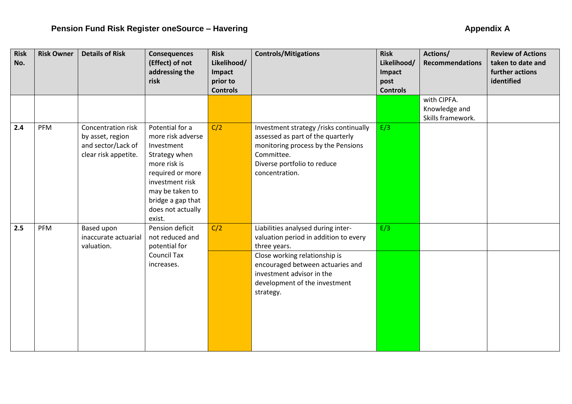| <b>Risk</b> | <b>Risk Owner</b> | <b>Details of Risk</b> | <b>Consequences</b>                 | <b>Risk</b>           | <b>Controls/Mitigations</b>                                       | <b>Risk</b>           | Actions/               | <b>Review of Actions</b>             |
|-------------|-------------------|------------------------|-------------------------------------|-----------------------|-------------------------------------------------------------------|-----------------------|------------------------|--------------------------------------|
| No.         |                   |                        | (Effect) of not<br>addressing the   | Likelihood/<br>Impact |                                                                   | Likelihood/<br>Impact | <b>Recommendations</b> | taken to date and<br>further actions |
|             |                   |                        | risk                                | prior to              |                                                                   | post                  |                        | identified                           |
|             |                   |                        |                                     | <b>Controls</b>       |                                                                   | <b>Controls</b>       |                        |                                      |
|             |                   |                        |                                     |                       |                                                                   |                       | with CIPFA.            |                                      |
|             |                   |                        |                                     |                       |                                                                   |                       | Knowledge and          |                                      |
| 2.4         | PFM               | Concentration risk     | Potential for a                     | C/2                   | Investment strategy /risks continually                            | E/3                   | Skills framework.      |                                      |
|             |                   | by asset, region       | more risk adverse                   |                       | assessed as part of the quarterly                                 |                       |                        |                                      |
|             |                   | and sector/Lack of     | Investment                          |                       | monitoring process by the Pensions                                |                       |                        |                                      |
|             |                   | clear risk appetite.   | Strategy when                       |                       | Committee.                                                        |                       |                        |                                      |
|             |                   |                        | more risk is                        |                       | Diverse portfolio to reduce                                       |                       |                        |                                      |
|             |                   |                        | required or more                    |                       | concentration.                                                    |                       |                        |                                      |
|             |                   |                        | investment risk<br>may be taken to  |                       |                                                                   |                       |                        |                                      |
|             |                   |                        | bridge a gap that                   |                       |                                                                   |                       |                        |                                      |
|             |                   |                        | does not actually                   |                       |                                                                   |                       |                        |                                      |
|             |                   |                        | exist.                              |                       |                                                                   |                       |                        |                                      |
| 2.5         | PFM               | Based upon             | Pension deficit                     | C/2                   | Liabilities analysed during inter-                                | E/3                   |                        |                                      |
|             |                   | inaccurate actuarial   | not reduced and                     |                       | valuation period in addition to every                             |                       |                        |                                      |
|             |                   | valuation.             | potential for<br><b>Council Tax</b> |                       | three years.                                                      |                       |                        |                                      |
|             |                   |                        | increases.                          |                       | Close working relationship is<br>encouraged between actuaries and |                       |                        |                                      |
|             |                   |                        |                                     |                       | investment advisor in the                                         |                       |                        |                                      |
|             |                   |                        |                                     |                       | development of the investment                                     |                       |                        |                                      |
|             |                   |                        |                                     |                       | strategy.                                                         |                       |                        |                                      |
|             |                   |                        |                                     |                       |                                                                   |                       |                        |                                      |
|             |                   |                        |                                     |                       |                                                                   |                       |                        |                                      |
|             |                   |                        |                                     |                       |                                                                   |                       |                        |                                      |
|             |                   |                        |                                     |                       |                                                                   |                       |                        |                                      |
|             |                   |                        |                                     |                       |                                                                   |                       |                        |                                      |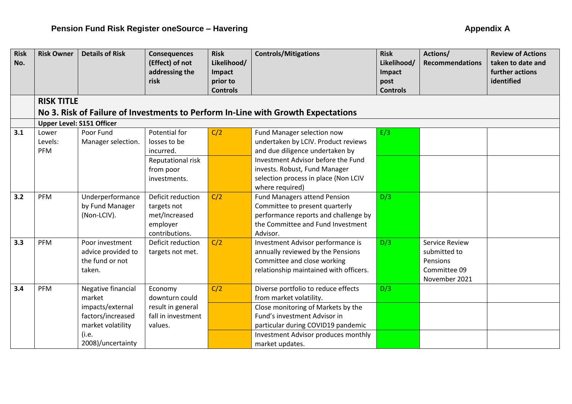| <b>Risk</b> | <b>Risk Owner</b>                | <b>Details of Risk</b> | <b>Consequences</b> | <b>Risk</b>                 | <b>Controls/Mitigations</b>                                                      | <b>Risk</b>             | Actions/               | <b>Review of Actions</b> |  |  |
|-------------|----------------------------------|------------------------|---------------------|-----------------------------|----------------------------------------------------------------------------------|-------------------------|------------------------|--------------------------|--|--|
| No.         |                                  |                        | (Effect) of not     | Likelihood/                 |                                                                                  | Likelihood/             | <b>Recommendations</b> | taken to date and        |  |  |
|             |                                  |                        | addressing the      | Impact                      |                                                                                  | Impact                  |                        | further actions          |  |  |
|             |                                  |                        | risk                | prior to<br><b>Controls</b> |                                                                                  | post<br><b>Controls</b> |                        | identified               |  |  |
|             |                                  |                        |                     |                             |                                                                                  |                         |                        |                          |  |  |
|             | <b>RISK TITLE</b>                |                        |                     |                             |                                                                                  |                         |                        |                          |  |  |
|             |                                  |                        |                     |                             | No 3. Risk of Failure of Investments to Perform In-Line with Growth Expectations |                         |                        |                          |  |  |
|             | <b>Upper Level: S151 Officer</b> |                        |                     |                             |                                                                                  |                         |                        |                          |  |  |
| 3.1         | Lower                            | Poor Fund              | Potential for       | C/2                         | Fund Manager selection now                                                       | E/3                     |                        |                          |  |  |
|             | Levels:                          | Manager selection.     | losses to be        |                             | undertaken by LCIV. Product reviews                                              |                         |                        |                          |  |  |
|             | PFM                              |                        | incurred.           |                             | and due diligence undertaken by                                                  |                         |                        |                          |  |  |
|             |                                  |                        | Reputational risk   |                             | Investment Advisor before the Fund                                               |                         |                        |                          |  |  |
|             |                                  |                        | from poor           |                             | invests. Robust, Fund Manager                                                    |                         |                        |                          |  |  |
|             |                                  |                        | investments.        |                             | selection process in place (Non LCIV                                             |                         |                        |                          |  |  |
|             |                                  |                        |                     |                             | where required)                                                                  |                         |                        |                          |  |  |
| 3.2         | PFM                              | Underperformance       | Deficit reduction   | C/2                         | <b>Fund Managers attend Pension</b>                                              | D/3                     |                        |                          |  |  |
|             |                                  | by Fund Manager        | targets not         |                             | Committee to present quarterly                                                   |                         |                        |                          |  |  |
|             |                                  | (Non-LCIV).            | met/Increased       |                             | performance reports and challenge by                                             |                         |                        |                          |  |  |
|             |                                  |                        | employer            |                             | the Committee and Fund Investment                                                |                         |                        |                          |  |  |
|             |                                  |                        | contributions.      |                             | Advisor.                                                                         |                         |                        |                          |  |  |
| 3.3         | PFM                              | Poor investment        | Deficit reduction   | C/2                         | Investment Advisor performance is                                                | D/3                     | <b>Service Review</b>  |                          |  |  |
|             |                                  | advice provided to     | targets not met.    |                             | annually reviewed by the Pensions                                                |                         | submitted to           |                          |  |  |
|             |                                  | the fund or not        |                     |                             | Committee and close working                                                      |                         | Pensions               |                          |  |  |
|             |                                  | taken.                 |                     |                             | relationship maintained with officers.                                           |                         | Committee 09           |                          |  |  |
|             |                                  |                        |                     |                             |                                                                                  |                         | November 2021          |                          |  |  |
| 3.4         | PFM                              | Negative financial     | Economy             | C/2                         | Diverse portfolio to reduce effects                                              | D/3                     |                        |                          |  |  |
|             |                                  | market                 | downturn could      |                             | from market volatility.                                                          |                         |                        |                          |  |  |
|             |                                  | impacts/external       | result in general   |                             | Close monitoring of Markets by the                                               |                         |                        |                          |  |  |
|             |                                  | factors/increased      | fall in investment  |                             | Fund's investment Advisor in                                                     |                         |                        |                          |  |  |
|             |                                  | market volatility      | values.             |                             | particular during COVID19 pandemic                                               |                         |                        |                          |  |  |
|             |                                  | (i.e.                  |                     |                             | Investment Advisor produces monthly                                              |                         |                        |                          |  |  |
|             |                                  | 2008)/uncertainty      |                     |                             | market updates.                                                                  |                         |                        |                          |  |  |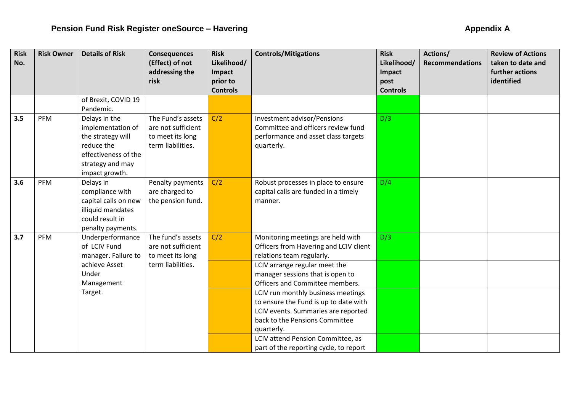| <b>Risk</b><br>No. | <b>Risk Owner</b> | <b>Details of Risk</b>                    | <b>Consequences</b><br>(Effect) of not | <b>Risk</b><br>Likelihood/ | <b>Controls/Mitigations</b>            | <b>Risk</b><br>Likelihood/ | Actions/<br><b>Recommendations</b> | <b>Review of Actions</b><br>taken to date and |
|--------------------|-------------------|-------------------------------------------|----------------------------------------|----------------------------|----------------------------------------|----------------------------|------------------------------------|-----------------------------------------------|
|                    |                   |                                           | addressing the<br>risk                 | Impact<br>prior to         |                                        | Impact<br>post             |                                    | further actions<br>identified                 |
|                    |                   |                                           |                                        | <b>Controls</b>            |                                        | <b>Controls</b>            |                                    |                                               |
|                    |                   | of Brexit, COVID 19                       |                                        |                            |                                        |                            |                                    |                                               |
|                    |                   | Pandemic.                                 |                                        |                            |                                        |                            |                                    |                                               |
| 3.5                | PFM               | Delays in the                             | The Fund's assets                      | C/2                        | Investment advisor/Pensions            | D/3                        |                                    |                                               |
|                    |                   | implementation of                         | are not sufficient                     |                            | Committee and officers review fund     |                            |                                    |                                               |
|                    |                   | the strategy will                         | to meet its long                       |                            | performance and asset class targets    |                            |                                    |                                               |
|                    |                   | reduce the                                | term liabilities.                      |                            | quarterly.                             |                            |                                    |                                               |
|                    |                   | effectiveness of the                      |                                        |                            |                                        |                            |                                    |                                               |
|                    |                   | strategy and may                          |                                        |                            |                                        |                            |                                    |                                               |
|                    |                   | impact growth.                            |                                        |                            |                                        |                            |                                    |                                               |
| 3.6                | PFM               | Delays in                                 | Penalty payments                       | C/2                        | Robust processes in place to ensure    | D/4                        |                                    |                                               |
|                    |                   | compliance with                           | are charged to                         |                            | capital calls are funded in a timely   |                            |                                    |                                               |
|                    |                   | capital calls on new<br>illiquid mandates | the pension fund.                      |                            | manner.                                |                            |                                    |                                               |
|                    |                   | could result in                           |                                        |                            |                                        |                            |                                    |                                               |
|                    |                   | penalty payments.                         |                                        |                            |                                        |                            |                                    |                                               |
| 3.7                | <b>PFM</b>        | Underperformance                          | The fund's assets                      | C/2                        | Monitoring meetings are held with      | D/3                        |                                    |                                               |
|                    |                   | of LCIV Fund                              | are not sufficient                     |                            | Officers from Havering and LCIV client |                            |                                    |                                               |
|                    |                   | manager. Failure to                       | to meet its long                       |                            | relations team regularly.              |                            |                                    |                                               |
|                    |                   | achieve Asset                             | term liabilities.                      |                            | LCIV arrange regular meet the          |                            |                                    |                                               |
|                    |                   | Under                                     |                                        |                            | manager sessions that is open to       |                            |                                    |                                               |
|                    |                   | Management                                |                                        |                            | Officers and Committee members.        |                            |                                    |                                               |
|                    |                   | Target.                                   |                                        |                            | LCIV run monthly business meetings     |                            |                                    |                                               |
|                    |                   |                                           |                                        |                            | to ensure the Fund is up to date with  |                            |                                    |                                               |
|                    |                   |                                           |                                        |                            | LCIV events. Summaries are reported    |                            |                                    |                                               |
|                    |                   |                                           |                                        |                            | back to the Pensions Committee         |                            |                                    |                                               |
|                    |                   |                                           |                                        |                            | quarterly.                             |                            |                                    |                                               |
|                    |                   |                                           |                                        |                            | LCIV attend Pension Committee, as      |                            |                                    |                                               |
|                    |                   |                                           |                                        |                            | part of the reporting cycle, to report |                            |                                    |                                               |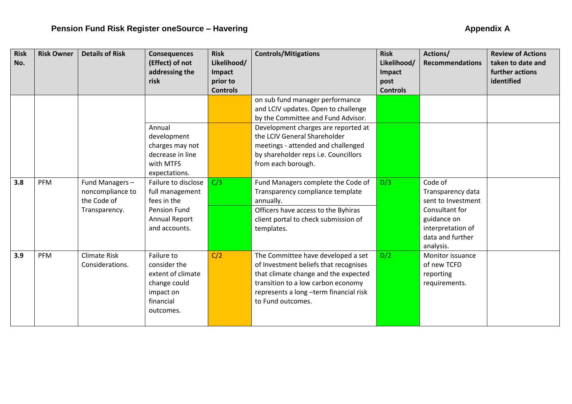| <b>Risk</b><br>No. | <b>Risk Owner</b> | <b>Details of Risk</b>                                             | <b>Consequences</b><br>(Effect) of not<br>addressing the<br>risk                                        | <b>Risk</b><br>Likelihood/<br>Impact<br>prior to | <b>Controls/Mitigations</b>                                                                                                                                                                                              | <b>Risk</b><br>Likelihood/<br>Impact<br>post | Actions/<br><b>Recommendations</b>                                                                                                        | <b>Review of Actions</b><br>taken to date and<br>further actions<br>identified |
|--------------------|-------------------|--------------------------------------------------------------------|---------------------------------------------------------------------------------------------------------|--------------------------------------------------|--------------------------------------------------------------------------------------------------------------------------------------------------------------------------------------------------------------------------|----------------------------------------------|-------------------------------------------------------------------------------------------------------------------------------------------|--------------------------------------------------------------------------------|
|                    |                   |                                                                    |                                                                                                         | <b>Controls</b>                                  |                                                                                                                                                                                                                          | <b>Controls</b>                              |                                                                                                                                           |                                                                                |
|                    |                   |                                                                    |                                                                                                         |                                                  | on sub fund manager performance<br>and LCIV updates. Open to challenge<br>by the Committee and Fund Advisor.                                                                                                             |                                              |                                                                                                                                           |                                                                                |
|                    |                   |                                                                    | Annual<br>development<br>charges may not<br>decrease in line<br>with MTFS<br>expectations.              |                                                  | Development charges are reported at<br>the LCIV General Shareholder<br>meetings - attended and challenged<br>by shareholder reps i.e. Councillors<br>from each borough.                                                  |                                              |                                                                                                                                           |                                                                                |
| 3.8                | PFM               | Fund Managers-<br>noncompliance to<br>the Code of<br>Transparency. | Failure to disclose<br>full management<br>fees in the<br>Pension Fund<br>Annual Report<br>and accounts. | C/3                                              | Fund Managers complete the Code of<br>Transparency compliance template<br>annually.<br>Officers have access to the Byhiras<br>client portal to check submission of<br>templates.                                         | D/3                                          | Code of<br>Transparency data<br>sent to Investment<br>Consultant for<br>guidance on<br>interpretation of<br>data and further<br>analysis. |                                                                                |
| 3.9                | PFM               | <b>Climate Risk</b><br>Considerations.                             | Failure to<br>consider the<br>extent of climate<br>change could<br>impact on<br>financial<br>outcomes.  | C/2                                              | The Committee have developed a set<br>of Investment beliefs that recognises<br>that climate change and the expected<br>transition to a low carbon economy<br>represents a long -term financial risk<br>to Fund outcomes. | D/2                                          | Monitor issuance<br>of new TCFD<br>reporting<br>requirements.                                                                             |                                                                                |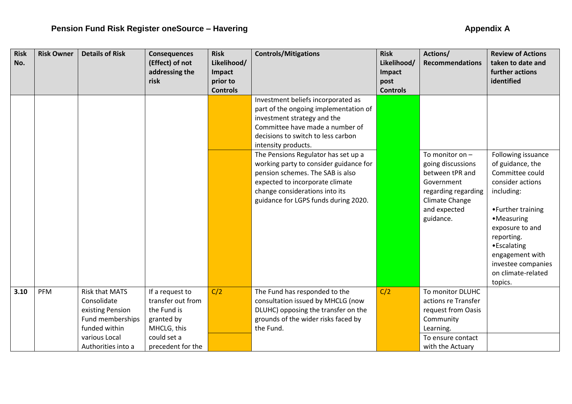| <b>Risk</b><br>No. | <b>Risk Owner</b> | <b>Details of Risk</b>                                                                        | <b>Consequences</b><br>(Effect) of not<br>addressing the                         | <b>Risk</b><br>Likelihood/<br>Impact | <b>Controls/Mitigations</b>                                                                                                                                                                                                                                                                                                                                                                                                                  | <b>Risk</b><br>Likelihood/<br>Impact | Actions/<br><b>Recommendations</b>                                                                                                            | <b>Review of Actions</b><br>taken to date and<br>further actions                                                                                                                                                                                         |
|--------------------|-------------------|-----------------------------------------------------------------------------------------------|----------------------------------------------------------------------------------|--------------------------------------|----------------------------------------------------------------------------------------------------------------------------------------------------------------------------------------------------------------------------------------------------------------------------------------------------------------------------------------------------------------------------------------------------------------------------------------------|--------------------------------------|-----------------------------------------------------------------------------------------------------------------------------------------------|----------------------------------------------------------------------------------------------------------------------------------------------------------------------------------------------------------------------------------------------------------|
|                    |                   |                                                                                               | risk                                                                             | prior to<br><b>Controls</b>          |                                                                                                                                                                                                                                                                                                                                                                                                                                              | post<br><b>Controls</b>              |                                                                                                                                               | identified                                                                                                                                                                                                                                               |
|                    |                   |                                                                                               |                                                                                  |                                      | Investment beliefs incorporated as<br>part of the ongoing implementation of<br>investment strategy and the<br>Committee have made a number of<br>decisions to switch to less carbon<br>intensity products.<br>The Pensions Regulator has set up a<br>working party to consider guidance for<br>pension schemes. The SAB is also<br>expected to incorporate climate<br>change considerations into its<br>guidance for LGPS funds during 2020. |                                      | To monitor on $-$<br>going discussions<br>between tPR and<br>Government<br>regarding regarding<br>Climate Change<br>and expected<br>guidance. | Following issuance<br>of guidance, the<br>Committee could<br>consider actions<br>including:<br>•Further training<br>•Measuring<br>exposure to and<br>reporting.<br>•Escalating<br>engagement with<br>investee companies<br>on climate-related<br>topics. |
| 3.10               | PFM               | <b>Risk that MATS</b><br>Consolidate<br>existing Pension<br>Fund memberships<br>funded within | If a request to<br>transfer out from<br>the Fund is<br>granted by<br>MHCLG, this | C/2                                  | The Fund has responded to the<br>consultation issued by MHCLG (now<br>DLUHC) opposing the transfer on the<br>grounds of the wider risks faced by<br>the Fund.                                                                                                                                                                                                                                                                                | C/2                                  | To monitor DLUHC<br>actions re Transfer<br>request from Oasis<br>Community<br>Learning.                                                       |                                                                                                                                                                                                                                                          |
|                    |                   | various Local<br>Authorities into a                                                           | could set a<br>precedent for the                                                 |                                      |                                                                                                                                                                                                                                                                                                                                                                                                                                              |                                      | To ensure contact<br>with the Actuary                                                                                                         |                                                                                                                                                                                                                                                          |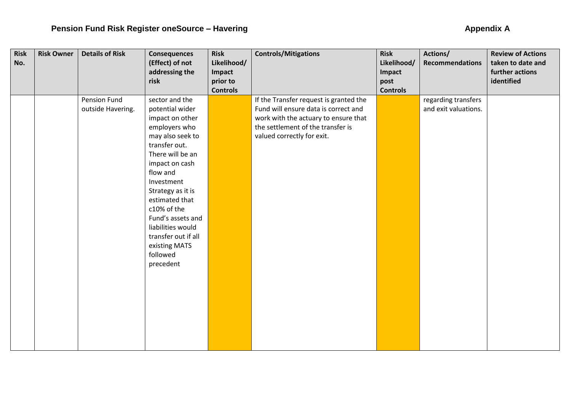| <b>Risk</b> | <b>Risk Owner</b> | <b>Details of Risk</b> | <b>Consequences</b> | <b>Risk</b>     | <b>Controls/Mitigations</b>            | <b>Risk</b>     | Actions/               | <b>Review of Actions</b> |
|-------------|-------------------|------------------------|---------------------|-----------------|----------------------------------------|-----------------|------------------------|--------------------------|
| No.         |                   |                        | (Effect) of not     | Likelihood/     |                                        | Likelihood/     | <b>Recommendations</b> | taken to date and        |
|             |                   |                        | addressing the      | Impact          |                                        | Impact          |                        | further actions          |
|             |                   |                        | risk                | prior to        |                                        | post            |                        | identified               |
|             |                   |                        |                     | <b>Controls</b> |                                        | <b>Controls</b> |                        |                          |
|             |                   | Pension Fund           | sector and the      |                 | If the Transfer request is granted the |                 | regarding transfers    |                          |
|             |                   | outside Havering.      | potential wider     |                 | Fund will ensure data is correct and   |                 | and exit valuations.   |                          |
|             |                   |                        | impact on other     |                 | work with the actuary to ensure that   |                 |                        |                          |
|             |                   |                        | employers who       |                 | the settlement of the transfer is      |                 |                        |                          |
|             |                   |                        | may also seek to    |                 | valued correctly for exit.             |                 |                        |                          |
|             |                   |                        | transfer out.       |                 |                                        |                 |                        |                          |
|             |                   |                        | There will be an    |                 |                                        |                 |                        |                          |
|             |                   |                        | impact on cash      |                 |                                        |                 |                        |                          |
|             |                   |                        | flow and            |                 |                                        |                 |                        |                          |
|             |                   |                        | Investment          |                 |                                        |                 |                        |                          |
|             |                   |                        | Strategy as it is   |                 |                                        |                 |                        |                          |
|             |                   |                        | estimated that      |                 |                                        |                 |                        |                          |
|             |                   |                        | c10% of the         |                 |                                        |                 |                        |                          |
|             |                   |                        | Fund's assets and   |                 |                                        |                 |                        |                          |
|             |                   |                        | liabilities would   |                 |                                        |                 |                        |                          |
|             |                   |                        | transfer out if all |                 |                                        |                 |                        |                          |
|             |                   |                        | existing MATS       |                 |                                        |                 |                        |                          |
|             |                   |                        | followed            |                 |                                        |                 |                        |                          |
|             |                   |                        | precedent           |                 |                                        |                 |                        |                          |
|             |                   |                        |                     |                 |                                        |                 |                        |                          |
|             |                   |                        |                     |                 |                                        |                 |                        |                          |
|             |                   |                        |                     |                 |                                        |                 |                        |                          |
|             |                   |                        |                     |                 |                                        |                 |                        |                          |
|             |                   |                        |                     |                 |                                        |                 |                        |                          |
|             |                   |                        |                     |                 |                                        |                 |                        |                          |
|             |                   |                        |                     |                 |                                        |                 |                        |                          |
|             |                   |                        |                     |                 |                                        |                 |                        |                          |
|             |                   |                        |                     |                 |                                        |                 |                        |                          |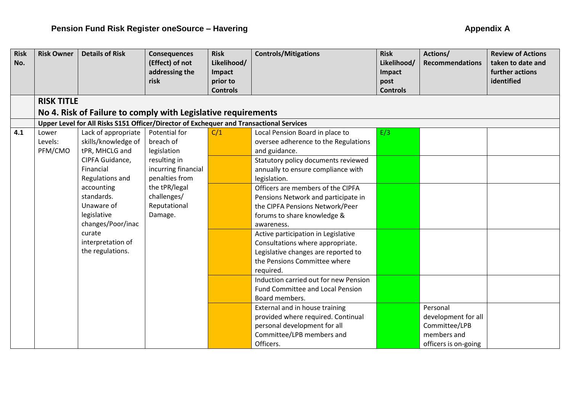| <b>Risk</b> | <b>Risk Owner</b> | <b>Details of Risk</b>                                                                  | <b>Consequences</b> | <b>Risk</b>                 | <b>Controls/Mitigations</b>           | <b>Risk</b>             | Actions/               | <b>Review of Actions</b> |
|-------------|-------------------|-----------------------------------------------------------------------------------------|---------------------|-----------------------------|---------------------------------------|-------------------------|------------------------|--------------------------|
| No.         |                   |                                                                                         | (Effect) of not     | Likelihood/                 |                                       | Likelihood/             | <b>Recommendations</b> | taken to date and        |
|             |                   |                                                                                         | addressing the      | Impact                      |                                       | Impact                  |                        | further actions          |
|             |                   |                                                                                         | risk                | prior to<br><b>Controls</b> |                                       | post<br><b>Controls</b> |                        | identified               |
|             | <b>RISK TITLE</b> |                                                                                         |                     |                             |                                       |                         |                        |                          |
|             |                   |                                                                                         |                     |                             |                                       |                         |                        |                          |
|             |                   | No 4. Risk of Failure to comply with Legislative requirements                           |                     |                             |                                       |                         |                        |                          |
|             |                   | Upper Level for All Risks S151 Officer/Director of Exchequer and Transactional Services |                     |                             |                                       |                         |                        |                          |
| 4.1         | Lower             | Lack of appropriate                                                                     | Potential for       | C/1                         | Local Pension Board in place to       | E/3                     |                        |                          |
|             | Levels:           | skills/knowledge of                                                                     | breach of           |                             | oversee adherence to the Regulations  |                         |                        |                          |
|             | PFM/CMO           | tPR, MHCLG and                                                                          | legislation         |                             | and guidance.                         |                         |                        |                          |
|             |                   | CIPFA Guidance,                                                                         | resulting in        |                             | Statutory policy documents reviewed   |                         |                        |                          |
|             |                   | Financial                                                                               | incurring financial |                             | annually to ensure compliance with    |                         |                        |                          |
|             |                   | Regulations and                                                                         | penalties from      |                             | legislation.                          |                         |                        |                          |
|             |                   | accounting                                                                              | the tPR/legal       |                             | Officers are members of the CIPFA     |                         |                        |                          |
|             |                   | standards.                                                                              | challenges/         |                             | Pensions Network and participate in   |                         |                        |                          |
|             |                   | Unaware of                                                                              | Reputational        |                             | the CIPFA Pensions Network/Peer       |                         |                        |                          |
|             |                   | legislative                                                                             | Damage.             |                             | forums to share knowledge &           |                         |                        |                          |
|             |                   | changes/Poor/inac                                                                       |                     |                             | awareness.                            |                         |                        |                          |
|             |                   | curate                                                                                  |                     |                             | Active participation in Legislative   |                         |                        |                          |
|             |                   | interpretation of                                                                       |                     |                             | Consultations where appropriate.      |                         |                        |                          |
|             |                   | the regulations.                                                                        |                     |                             | Legislative changes are reported to   |                         |                        |                          |
|             |                   |                                                                                         |                     |                             | the Pensions Committee where          |                         |                        |                          |
|             |                   |                                                                                         |                     |                             | required.                             |                         |                        |                          |
|             |                   |                                                                                         |                     |                             | Induction carried out for new Pension |                         |                        |                          |
|             |                   |                                                                                         |                     |                             | Fund Committee and Local Pension      |                         |                        |                          |
|             |                   |                                                                                         |                     |                             | Board members.                        |                         |                        |                          |
|             |                   |                                                                                         |                     |                             | External and in house training        |                         | Personal               |                          |
|             |                   |                                                                                         |                     |                             | provided where required. Continual    |                         | development for all    |                          |
|             |                   |                                                                                         |                     |                             | personal development for all          |                         | Committee/LPB          |                          |
|             |                   |                                                                                         |                     |                             | Committee/LPB members and             |                         | members and            |                          |
|             |                   |                                                                                         |                     |                             | Officers.                             |                         | officers is on-going   |                          |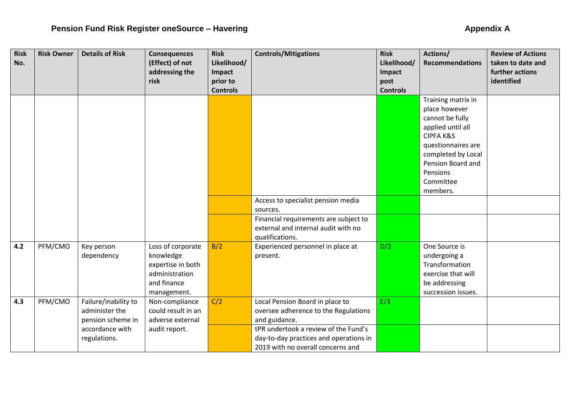| <b>Risk</b><br>No. | <b>Risk Owner</b> | <b>Details of Risk</b>   | <b>Consequences</b><br>(Effect) of not | <b>Risk</b><br>Likelihood/ | <b>Controls/Mitigations</b>                          | <b>Risk</b><br>Likelihood/ | Actions/<br><b>Recommendations</b> | <b>Review of Actions</b><br>taken to date and |
|--------------------|-------------------|--------------------------|----------------------------------------|----------------------------|------------------------------------------------------|----------------------------|------------------------------------|-----------------------------------------------|
|                    |                   |                          | addressing the                         | Impact                     |                                                      | Impact                     |                                    | further actions                               |
|                    |                   |                          | risk                                   | prior to                   |                                                      | post                       |                                    | identified                                    |
|                    |                   |                          |                                        | <b>Controls</b>            |                                                      | <b>Controls</b>            |                                    |                                               |
|                    |                   |                          |                                        |                            |                                                      |                            | Training matrix in                 |                                               |
|                    |                   |                          |                                        |                            |                                                      |                            | place however                      |                                               |
|                    |                   |                          |                                        |                            |                                                      |                            | cannot be fully                    |                                               |
|                    |                   |                          |                                        |                            |                                                      |                            | applied until all                  |                                               |
|                    |                   |                          |                                        |                            |                                                      |                            | <b>CIPFA K&amp;S</b>               |                                               |
|                    |                   |                          |                                        |                            |                                                      |                            | questionnaires are                 |                                               |
|                    |                   |                          |                                        |                            |                                                      |                            | completed by Local                 |                                               |
|                    |                   |                          |                                        |                            |                                                      |                            | Pension Board and                  |                                               |
|                    |                   |                          |                                        |                            |                                                      |                            | Pensions                           |                                               |
|                    |                   |                          |                                        |                            |                                                      |                            | Committee                          |                                               |
|                    |                   |                          |                                        |                            |                                                      |                            | members.                           |                                               |
|                    |                   |                          |                                        |                            | Access to specialist pension media                   |                            |                                    |                                               |
|                    |                   |                          |                                        |                            | sources.                                             |                            |                                    |                                               |
|                    |                   |                          |                                        |                            | Financial requirements are subject to                |                            |                                    |                                               |
|                    |                   |                          |                                        |                            | external and internal audit with no                  |                            |                                    |                                               |
| 4.2                | PFM/CMO           |                          | Loss of corporate                      | B/2                        | qualifications.<br>Experienced personnel in place at | D/2                        | One Source is                      |                                               |
|                    |                   | Key person<br>dependency | knowledge                              |                            | present.                                             |                            | undergoing a                       |                                               |
|                    |                   |                          | expertise in both                      |                            |                                                      |                            | Transformation                     |                                               |
|                    |                   |                          | administration                         |                            |                                                      |                            | exercise that will                 |                                               |
|                    |                   |                          | and finance                            |                            |                                                      |                            | be addressing                      |                                               |
|                    |                   |                          | management.                            |                            |                                                      |                            | succession issues.                 |                                               |
| 4.3                | PFM/CMO           | Failure/inability to     | Non-compliance                         | C/2                        | Local Pension Board in place to                      | E/3                        |                                    |                                               |
|                    |                   | administer the           | could result in an                     |                            | oversee adherence to the Regulations                 |                            |                                    |                                               |
|                    |                   | pension scheme in        | adverse external                       |                            | and guidance.                                        |                            |                                    |                                               |
|                    |                   | accordance with          | audit report.                          |                            | tPR undertook a review of the Fund's                 |                            |                                    |                                               |
|                    |                   | regulations.             |                                        |                            | day-to-day practices and operations in               |                            |                                    |                                               |
|                    |                   |                          |                                        |                            | 2019 with no overall concerns and                    |                            |                                    |                                               |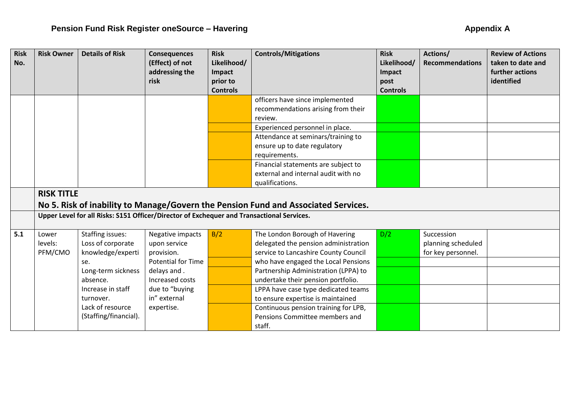| <b>Risk</b><br>No. | <b>Risk Owner</b> | <b>Details of Risk</b>                                                                    | <b>Consequences</b><br>(Effect) of not<br>addressing the<br>risk | <b>Risk</b><br>Likelihood/<br>Impact<br>prior to<br><b>Controls</b> | <b>Controls/Mitigations</b>                                                        | <b>Risk</b><br>Likelihood/<br>Impact<br>post<br><b>Controls</b> | Actions/<br><b>Recommendations</b> | <b>Review of Actions</b><br>taken to date and<br>further actions<br>identified |
|--------------------|-------------------|-------------------------------------------------------------------------------------------|------------------------------------------------------------------|---------------------------------------------------------------------|------------------------------------------------------------------------------------|-----------------------------------------------------------------|------------------------------------|--------------------------------------------------------------------------------|
|                    |                   |                                                                                           |                                                                  |                                                                     | officers have since implemented<br>recommendations arising from their<br>review.   |                                                                 |                                    |                                                                                |
|                    |                   |                                                                                           |                                                                  |                                                                     | Experienced personnel in place.                                                    |                                                                 |                                    |                                                                                |
|                    |                   |                                                                                           |                                                                  |                                                                     | Attendance at seminars/training to                                                 |                                                                 |                                    |                                                                                |
|                    |                   |                                                                                           |                                                                  |                                                                     | ensure up to date regulatory                                                       |                                                                 |                                    |                                                                                |
|                    |                   |                                                                                           |                                                                  |                                                                     | requirements.                                                                      |                                                                 |                                    |                                                                                |
|                    |                   |                                                                                           |                                                                  |                                                                     | Financial statements are subject to                                                |                                                                 |                                    |                                                                                |
|                    |                   |                                                                                           |                                                                  |                                                                     | external and internal audit with no                                                |                                                                 |                                    |                                                                                |
|                    |                   |                                                                                           |                                                                  |                                                                     | qualifications.                                                                    |                                                                 |                                    |                                                                                |
|                    | <b>RISK TITLE</b> |                                                                                           |                                                                  |                                                                     |                                                                                    |                                                                 |                                    |                                                                                |
|                    |                   |                                                                                           |                                                                  |                                                                     | No 5. Risk of inability to Manage/Govern the Pension Fund and Associated Services. |                                                                 |                                    |                                                                                |
|                    |                   | Upper Level for all Risks: S151 Officer/Director of Exchequer and Transactional Services. |                                                                  |                                                                     |                                                                                    |                                                                 |                                    |                                                                                |
| 5.1                | Lower             | <b>Staffing issues:</b>                                                                   | Negative impacts                                                 | B/2                                                                 | The London Borough of Havering                                                     | D/2                                                             | Succession                         |                                                                                |
|                    | levels:           | Loss of corporate                                                                         | upon service                                                     |                                                                     | delegated the pension administration                                               |                                                                 | planning scheduled                 |                                                                                |
|                    | PFM/CMO           | knowledge/experti                                                                         | provision.                                                       |                                                                     | service to Lancashire County Council                                               |                                                                 | for key personnel.                 |                                                                                |
|                    |                   | se.                                                                                       | <b>Potential for Time</b>                                        |                                                                     | who have engaged the Local Pensions                                                |                                                                 |                                    |                                                                                |
|                    |                   | Long-term sickness                                                                        | delays and.                                                      |                                                                     | Partnership Administration (LPPA) to                                               |                                                                 |                                    |                                                                                |
|                    |                   | absence.                                                                                  | Increased costs                                                  |                                                                     | undertake their pension portfolio.                                                 |                                                                 |                                    |                                                                                |
|                    |                   | Increase in staff                                                                         | due to "buying                                                   |                                                                     | LPPA have case type dedicated teams                                                |                                                                 |                                    |                                                                                |
|                    |                   | turnover.                                                                                 | in" external                                                     |                                                                     | to ensure expertise is maintained                                                  |                                                                 |                                    |                                                                                |
|                    |                   | Lack of resource                                                                          | expertise.                                                       |                                                                     | Continuous pension training for LPB,                                               |                                                                 |                                    |                                                                                |
|                    |                   | (Staffing/financial).                                                                     |                                                                  |                                                                     | Pensions Committee members and                                                     |                                                                 |                                    |                                                                                |
|                    |                   |                                                                                           |                                                                  |                                                                     | staff.                                                                             |                                                                 |                                    |                                                                                |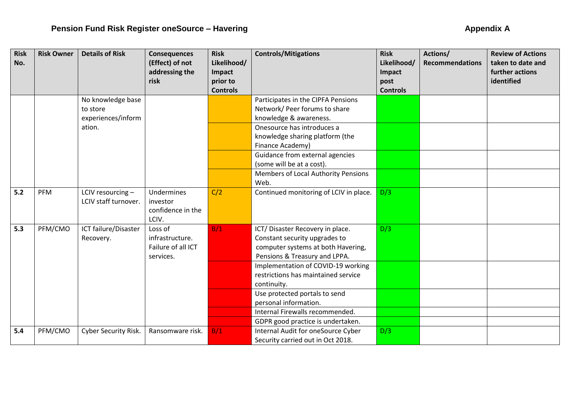| <b>Risk</b><br>No. | <b>Risk Owner</b> | <b>Details of Risk</b> | <b>Consequences</b><br>(Effect) of not | <b>Risk</b><br>Likelihood/ | <b>Controls/Mitigations</b>            | <b>Risk</b><br>Likelihood/ | Actions/<br><b>Recommendations</b> | <b>Review of Actions</b><br>taken to date and |
|--------------------|-------------------|------------------------|----------------------------------------|----------------------------|----------------------------------------|----------------------------|------------------------------------|-----------------------------------------------|
|                    |                   |                        | addressing the                         | Impact                     |                                        | Impact                     |                                    | further actions                               |
|                    |                   |                        | risk                                   | prior to                   |                                        | post                       |                                    | identified                                    |
|                    |                   |                        |                                        | <b>Controls</b>            |                                        | <b>Controls</b>            |                                    |                                               |
|                    |                   | No knowledge base      |                                        |                            | Participates in the CIPFA Pensions     |                            |                                    |                                               |
|                    |                   | to store               |                                        |                            | Network/ Peer forums to share          |                            |                                    |                                               |
|                    |                   | experiences/inform     |                                        |                            | knowledge & awareness.                 |                            |                                    |                                               |
|                    |                   | ation.                 |                                        |                            | Onesource has introduces a             |                            |                                    |                                               |
|                    |                   |                        |                                        |                            | knowledge sharing platform (the        |                            |                                    |                                               |
|                    |                   |                        |                                        |                            | Finance Academy)                       |                            |                                    |                                               |
|                    |                   |                        |                                        |                            | Guidance from external agencies        |                            |                                    |                                               |
|                    |                   |                        |                                        |                            | (some will be at a cost).              |                            |                                    |                                               |
|                    |                   |                        |                                        |                            | Members of Local Authority Pensions    |                            |                                    |                                               |
|                    |                   |                        |                                        |                            | Web.                                   |                            |                                    |                                               |
| 5.2                | PFM               | LCIV resourcing -      | Undermines                             | C/2                        | Continued monitoring of LCIV in place. | D/3                        |                                    |                                               |
|                    |                   | LCIV staff turnover.   | investor                               |                            |                                        |                            |                                    |                                               |
|                    |                   |                        | confidence in the<br>LCIV.             |                            |                                        |                            |                                    |                                               |
| 5.3                | PFM/CMO           | ICT failure/Disaster   | Loss of                                | B/1                        | ICT/ Disaster Recovery in place.       | D/3                        |                                    |                                               |
|                    |                   | Recovery.              | infrastructure.                        |                            | Constant security upgrades to          |                            |                                    |                                               |
|                    |                   |                        | Failure of all ICT                     |                            | computer systems at both Havering,     |                            |                                    |                                               |
|                    |                   |                        | services.                              |                            | Pensions & Treasury and LPPA.          |                            |                                    |                                               |
|                    |                   |                        |                                        |                            | Implementation of COVID-19 working     |                            |                                    |                                               |
|                    |                   |                        |                                        |                            | restrictions has maintained service    |                            |                                    |                                               |
|                    |                   |                        |                                        |                            | continuity.                            |                            |                                    |                                               |
|                    |                   |                        |                                        |                            | Use protected portals to send          |                            |                                    |                                               |
|                    |                   |                        |                                        |                            | personal information.                  |                            |                                    |                                               |
|                    |                   |                        |                                        |                            | Internal Firewalls recommended.        |                            |                                    |                                               |
|                    |                   |                        |                                        |                            | GDPR good practice is undertaken.      |                            |                                    |                                               |
| 5.4                | PFM/CMO           | Cyber Security Risk.   | Ransomware risk.                       | B/1                        | Internal Audit for oneSource Cyber     | D/3                        |                                    |                                               |
|                    |                   |                        |                                        |                            | Security carried out in Oct 2018.      |                            |                                    |                                               |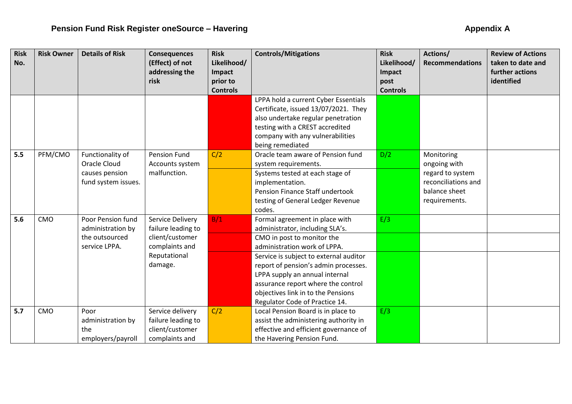| <b>Risk</b> | <b>Risk Owner</b> | <b>Details of Risk</b> | <b>Consequences</b> | <b>Risk</b>     | <b>Controls/Mitigations</b>            | <b>Risk</b>     | Actions/               | <b>Review of Actions</b> |
|-------------|-------------------|------------------------|---------------------|-----------------|----------------------------------------|-----------------|------------------------|--------------------------|
| No.         |                   |                        | (Effect) of not     | Likelihood/     |                                        | Likelihood/     | <b>Recommendations</b> | taken to date and        |
|             |                   |                        | addressing the      | Impact          |                                        | Impact          |                        | further actions          |
|             |                   |                        | risk                | prior to        |                                        | post            |                        | identified               |
|             |                   |                        |                     | <b>Controls</b> |                                        | <b>Controls</b> |                        |                          |
|             |                   |                        |                     |                 | LPPA hold a current Cyber Essentials   |                 |                        |                          |
|             |                   |                        |                     |                 | Certificate, issued 13/07/2021. They   |                 |                        |                          |
|             |                   |                        |                     |                 | also undertake regular penetration     |                 |                        |                          |
|             |                   |                        |                     |                 | testing with a CREST accredited        |                 |                        |                          |
|             |                   |                        |                     |                 | company with any vulnerabilities       |                 |                        |                          |
|             |                   |                        |                     |                 | being remediated                       |                 |                        |                          |
| 5.5         | PFM/CMO           | Functionality of       | <b>Pension Fund</b> | C/2             | Oracle team aware of Pension fund      | D/2             | Monitoring             |                          |
|             |                   | <b>Oracle Cloud</b>    | Accounts system     |                 | system requirements.                   |                 | ongoing with           |                          |
|             |                   | causes pension         | malfunction.        |                 | Systems tested at each stage of        |                 | regard to system       |                          |
|             |                   | fund system issues.    |                     |                 | implementation.                        |                 | reconciliations and    |                          |
|             |                   |                        |                     |                 | Pension Finance Staff undertook        |                 | balance sheet          |                          |
|             |                   |                        |                     |                 | testing of General Ledger Revenue      |                 | requirements.          |                          |
|             |                   |                        |                     |                 | codes.                                 |                 |                        |                          |
| 5.6         | CMO               | Poor Pension fund      | Service Delivery    | B/1             | Formal agreement in place with         | E/3             |                        |                          |
|             |                   | administration by      | failure leading to  |                 | administrator, including SLA's.        |                 |                        |                          |
|             |                   | the outsourced         | client/customer     |                 | CMO in post to monitor the             |                 |                        |                          |
|             |                   | service LPPA.          | complaints and      |                 | administration work of LPPA.           |                 |                        |                          |
|             |                   |                        | Reputational        |                 | Service is subject to external auditor |                 |                        |                          |
|             |                   |                        | damage.             |                 | report of pension's admin processes.   |                 |                        |                          |
|             |                   |                        |                     |                 | LPPA supply an annual internal         |                 |                        |                          |
|             |                   |                        |                     |                 | assurance report where the control     |                 |                        |                          |
|             |                   |                        |                     |                 | objectives link in to the Pensions     |                 |                        |                          |
|             |                   |                        |                     |                 | Regulator Code of Practice 14.         |                 |                        |                          |
| 5.7         | CMO               | Poor                   | Service delivery    | C/2             | Local Pension Board is in place to     | E/3             |                        |                          |
|             |                   | administration by      | failure leading to  |                 | assist the administering authority in  |                 |                        |                          |
|             |                   | the                    | client/customer     |                 | effective and efficient governance of  |                 |                        |                          |
|             |                   | employers/payroll      | complaints and      |                 | the Havering Pension Fund.             |                 |                        |                          |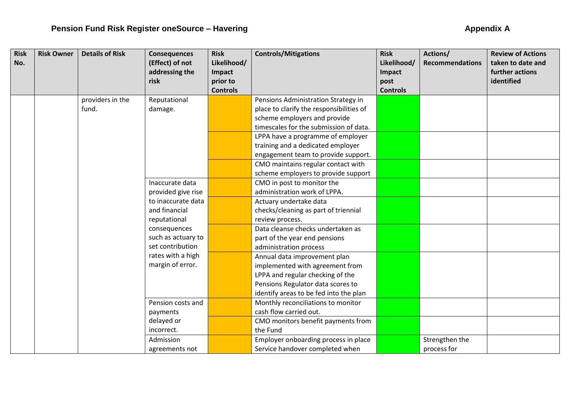| <b>Risk</b> | <b>Risk Owner</b> | <b>Details of Risk</b> | <b>Consequences</b> | <b>Risk</b>     | <b>Controls/Mitigations</b>              | <b>Risk</b>     | Actions/               | <b>Review of Actions</b> |
|-------------|-------------------|------------------------|---------------------|-----------------|------------------------------------------|-----------------|------------------------|--------------------------|
| No.         |                   |                        | (Effect) of not     | Likelihood/     |                                          | Likelihood/     | <b>Recommendations</b> | taken to date and        |
|             |                   |                        | addressing the      | Impact          |                                          | Impact          |                        | further actions          |
|             |                   |                        | risk                | prior to        |                                          | post            |                        | identified               |
|             |                   |                        |                     | <b>Controls</b> |                                          | <b>Controls</b> |                        |                          |
|             |                   | providers in the       | Reputational        |                 | Pensions Administration Strategy in      |                 |                        |                          |
|             |                   | fund.                  | damage.             |                 | place to clarify the responsibilities of |                 |                        |                          |
|             |                   |                        |                     |                 | scheme employers and provide             |                 |                        |                          |
|             |                   |                        |                     |                 | timescales for the submission of data.   |                 |                        |                          |
|             |                   |                        |                     |                 | LPPA have a programme of employer        |                 |                        |                          |
|             |                   |                        |                     |                 | training and a dedicated employer        |                 |                        |                          |
|             |                   |                        |                     |                 | engagement team to provide support.      |                 |                        |                          |
|             |                   |                        |                     |                 | CMO maintains regular contact with       |                 |                        |                          |
|             |                   |                        |                     |                 | scheme employers to provide support      |                 |                        |                          |
|             |                   |                        | Inaccurate data     |                 | CMO in post to monitor the               |                 |                        |                          |
|             |                   |                        | provided give rise  |                 | administration work of LPPA.             |                 |                        |                          |
|             |                   |                        | to inaccurate data  |                 | Actuary undertake data                   |                 |                        |                          |
|             |                   |                        | and financial       |                 | checks/cleaning as part of triennial     |                 |                        |                          |
|             |                   |                        | reputational        |                 | review process.                          |                 |                        |                          |
|             |                   |                        | consequences        |                 | Data cleanse checks undertaken as        |                 |                        |                          |
|             |                   |                        | such as actuary to  |                 | part of the year end pensions            |                 |                        |                          |
|             |                   |                        | set contribution    |                 | administration process                   |                 |                        |                          |
|             |                   |                        | rates with a high   |                 | Annual data improvement plan             |                 |                        |                          |
|             |                   |                        | margin of error.    |                 | implemented with agreement from          |                 |                        |                          |
|             |                   |                        |                     |                 | LPPA and regular checking of the         |                 |                        |                          |
|             |                   |                        |                     |                 | Pensions Regulator data scores to        |                 |                        |                          |
|             |                   |                        |                     |                 | identify areas to be fed into the plan   |                 |                        |                          |
|             |                   |                        | Pension costs and   |                 | Monthly reconciliations to monitor       |                 |                        |                          |
|             |                   |                        | payments            |                 | cash flow carried out.                   |                 |                        |                          |
|             |                   |                        | delayed or          |                 | CMO monitors benefit payments from       |                 |                        |                          |
|             |                   |                        | incorrect.          |                 | the Fund                                 |                 |                        |                          |
|             |                   |                        | Admission           |                 | Employer onboarding process in place     |                 | Strengthen the         |                          |
|             |                   |                        | agreements not      |                 | Service handover completed when          |                 | process for            |                          |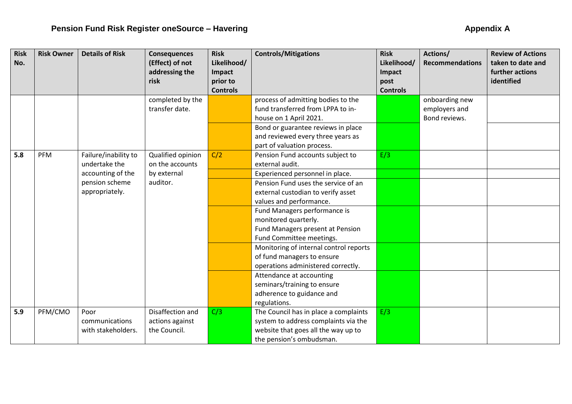| <b>Risk</b> | <b>Risk Owner</b> | <b>Details of Risk</b> | <b>Consequences</b>                | <b>Risk</b>                 | <b>Controls/Mitigations</b>                                             | <b>Risk</b>             | Actions/                       | <b>Review of Actions</b> |
|-------------|-------------------|------------------------|------------------------------------|-----------------------------|-------------------------------------------------------------------------|-------------------------|--------------------------------|--------------------------|
| No.         |                   |                        | (Effect) of not                    | Likelihood/                 |                                                                         | Likelihood/             | <b>Recommendations</b>         | taken to date and        |
|             |                   |                        | addressing the                     | Impact                      |                                                                         | Impact                  |                                | further actions          |
|             |                   |                        | risk                               | prior to<br><b>Controls</b> |                                                                         | post<br><b>Controls</b> |                                | identified               |
|             |                   |                        |                                    |                             |                                                                         |                         |                                |                          |
|             |                   |                        | completed by the<br>transfer date. |                             | process of admitting bodies to the<br>fund transferred from LPPA to in- |                         | onboarding new                 |                          |
|             |                   |                        |                                    |                             | house on 1 April 2021.                                                  |                         | employers and<br>Bond reviews. |                          |
|             |                   |                        |                                    |                             |                                                                         |                         |                                |                          |
|             |                   |                        |                                    |                             | Bond or guarantee reviews in place<br>and reviewed every three years as |                         |                                |                          |
|             |                   |                        |                                    |                             | part of valuation process.                                              |                         |                                |                          |
| 5.8         | PFM               | Failure/inability to   | Qualified opinion                  | C/2                         | Pension Fund accounts subject to                                        | E/3                     |                                |                          |
|             |                   | undertake the          | on the accounts                    |                             | external audit.                                                         |                         |                                |                          |
|             |                   | accounting of the      | by external                        |                             | Experienced personnel in place.                                         |                         |                                |                          |
|             |                   | pension scheme         | auditor.                           |                             | Pension Fund uses the service of an                                     |                         |                                |                          |
|             |                   | appropriately.         |                                    |                             | external custodian to verify asset                                      |                         |                                |                          |
|             |                   |                        |                                    |                             | values and performance.                                                 |                         |                                |                          |
|             |                   |                        |                                    |                             | Fund Managers performance is                                            |                         |                                |                          |
|             |                   |                        |                                    |                             | monitored quarterly.                                                    |                         |                                |                          |
|             |                   |                        |                                    |                             | Fund Managers present at Pension                                        |                         |                                |                          |
|             |                   |                        |                                    |                             | Fund Committee meetings.                                                |                         |                                |                          |
|             |                   |                        |                                    |                             | Monitoring of internal control reports                                  |                         |                                |                          |
|             |                   |                        |                                    |                             | of fund managers to ensure                                              |                         |                                |                          |
|             |                   |                        |                                    |                             | operations administered correctly.                                      |                         |                                |                          |
|             |                   |                        |                                    |                             | Attendance at accounting                                                |                         |                                |                          |
|             |                   |                        |                                    |                             | seminars/training to ensure                                             |                         |                                |                          |
|             |                   |                        |                                    |                             | adherence to guidance and                                               |                         |                                |                          |
|             |                   |                        |                                    |                             | regulations.                                                            |                         |                                |                          |
| 5.9         | PFM/CMO           | Poor                   | Disaffection and                   | C/3                         | The Council has in place a complaints                                   | E/3                     |                                |                          |
|             |                   | communications         | actions against                    |                             | system to address complaints via the                                    |                         |                                |                          |
|             |                   | with stakeholders.     | the Council.                       |                             | website that goes all the way up to                                     |                         |                                |                          |
|             |                   |                        |                                    |                             | the pension's ombudsman.                                                |                         |                                |                          |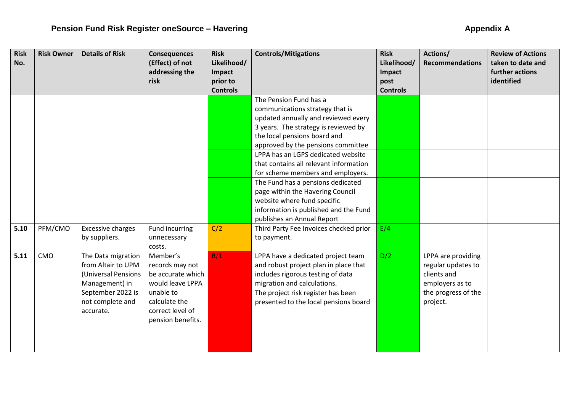| <b>Risk</b> | <b>Risk Owner</b> | <b>Details of Risk</b>   | <b>Consequences</b>               | <b>Risk</b>           | <b>Controls/Mitigations</b>            | <b>Risk</b>           | Actions/               | <b>Review of Actions</b><br>taken to date and |
|-------------|-------------------|--------------------------|-----------------------------------|-----------------------|----------------------------------------|-----------------------|------------------------|-----------------------------------------------|
| No.         |                   |                          | (Effect) of not<br>addressing the | Likelihood/<br>Impact |                                        | Likelihood/<br>Impact | <b>Recommendations</b> | further actions                               |
|             |                   |                          | risk                              | prior to              |                                        | post                  |                        | identified                                    |
|             |                   |                          |                                   | <b>Controls</b>       |                                        | <b>Controls</b>       |                        |                                               |
|             |                   |                          |                                   |                       | The Pension Fund has a                 |                       |                        |                                               |
|             |                   |                          |                                   |                       | communications strategy that is        |                       |                        |                                               |
|             |                   |                          |                                   |                       | updated annually and reviewed every    |                       |                        |                                               |
|             |                   |                          |                                   |                       | 3 years. The strategy is reviewed by   |                       |                        |                                               |
|             |                   |                          |                                   |                       | the local pensions board and           |                       |                        |                                               |
|             |                   |                          |                                   |                       | approved by the pensions committee     |                       |                        |                                               |
|             |                   |                          |                                   |                       | LPPA has an LGPS dedicated website     |                       |                        |                                               |
|             |                   |                          |                                   |                       | that contains all relevant information |                       |                        |                                               |
|             |                   |                          |                                   |                       | for scheme members and employers.      |                       |                        |                                               |
|             |                   |                          |                                   |                       | The Fund has a pensions dedicated      |                       |                        |                                               |
|             |                   |                          |                                   |                       | page within the Havering Council       |                       |                        |                                               |
|             |                   |                          |                                   |                       | website where fund specific            |                       |                        |                                               |
|             |                   |                          |                                   |                       | information is published and the Fund  |                       |                        |                                               |
|             |                   |                          |                                   |                       | publishes an Annual Report             |                       |                        |                                               |
| 5.10        | PFM/CMO           | <b>Excessive charges</b> | Fund incurring                    | C/2                   | Third Party Fee Invoices checked prior | E/4                   |                        |                                               |
|             |                   | by suppliers.            | unnecessary                       |                       | to payment.                            |                       |                        |                                               |
|             |                   |                          | costs.                            |                       |                                        |                       |                        |                                               |
| 5.11        | CMO               | The Data migration       | Member's                          | B/1                   | LPPA have a dedicated project team     | D/2                   | LPPA are providing     |                                               |
|             |                   | from Altair to UPM       | records may not                   |                       | and robust project plan in place that  |                       | regular updates to     |                                               |
|             |                   | (Universal Pensions      | be accurate which                 |                       | includes rigorous testing of data      |                       | clients and            |                                               |
|             |                   | Management) in           | would leave LPPA                  |                       | migration and calculations.            |                       | employers as to        |                                               |
|             |                   | September 2022 is        | unable to                         |                       | The project risk register has been     |                       | the progress of the    |                                               |
|             |                   | not complete and         | calculate the                     |                       | presented to the local pensions board  |                       | project.               |                                               |
|             |                   | accurate.                | correct level of                  |                       |                                        |                       |                        |                                               |
|             |                   |                          | pension benefits.                 |                       |                                        |                       |                        |                                               |
|             |                   |                          |                                   |                       |                                        |                       |                        |                                               |
|             |                   |                          |                                   |                       |                                        |                       |                        |                                               |
|             |                   |                          |                                   |                       |                                        |                       |                        |                                               |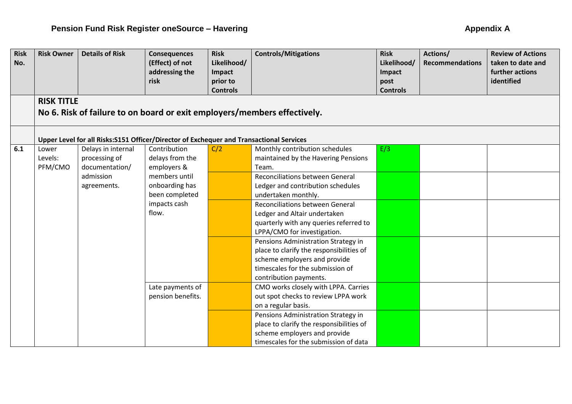| <b>Risk</b><br>No. | <b>Risk Owner</b>                                                        | <b>Details of Risk</b>                                                                   | <b>Consequences</b><br>(Effect) of not | <b>Risk</b><br>Likelihood/ | <b>Controls/Mitigations</b>                                      | <b>Risk</b><br>Likelihood/ | Actions/<br><b>Recommendations</b> | <b>Review of Actions</b><br>taken to date and |
|--------------------|--------------------------------------------------------------------------|------------------------------------------------------------------------------------------|----------------------------------------|----------------------------|------------------------------------------------------------------|----------------------------|------------------------------------|-----------------------------------------------|
|                    |                                                                          |                                                                                          | addressing the                         | Impact                     |                                                                  | Impact                     |                                    | further actions                               |
|                    |                                                                          |                                                                                          | risk                                   | prior to                   |                                                                  | post                       |                                    | identified                                    |
|                    |                                                                          |                                                                                          |                                        | <b>Controls</b>            |                                                                  | <b>Controls</b>            |                                    |                                               |
|                    | <b>RISK TITLE</b>                                                        |                                                                                          |                                        |                            |                                                                  |                            |                                    |                                               |
|                    | No 6. Risk of failure to on board or exit employers/members effectively. |                                                                                          |                                        |                            |                                                                  |                            |                                    |                                               |
|                    |                                                                          | Upper Level for all Risks: S151 Officer/Director of Exchequer and Transactional Services |                                        |                            |                                                                  |                            |                                    |                                               |
| 6.1                | Lower                                                                    | Delays in internal                                                                       | Contribution                           | C/2                        | Monthly contribution schedules                                   | E/3                        |                                    |                                               |
|                    | Levels:                                                                  | processing of                                                                            | delays from the                        |                            | maintained by the Havering Pensions                              |                            |                                    |                                               |
|                    | PFM/CMO                                                                  | documentation/                                                                           | employers &                            |                            | Team.                                                            |                            |                                    |                                               |
|                    |                                                                          | admission                                                                                | members until                          |                            | <b>Reconciliations between General</b>                           |                            |                                    |                                               |
|                    |                                                                          | agreements.                                                                              | onboarding has                         |                            | Ledger and contribution schedules                                |                            |                                    |                                               |
|                    |                                                                          |                                                                                          | been completed                         |                            | undertaken monthly.                                              |                            |                                    |                                               |
|                    |                                                                          |                                                                                          | impacts cash                           |                            | <b>Reconciliations between General</b>                           |                            |                                    |                                               |
|                    |                                                                          |                                                                                          | flow.                                  |                            | Ledger and Altair undertaken                                     |                            |                                    |                                               |
|                    |                                                                          |                                                                                          |                                        |                            | quarterly with any queries referred to                           |                            |                                    |                                               |
|                    |                                                                          |                                                                                          |                                        |                            | LPPA/CMO for investigation.                                      |                            |                                    |                                               |
|                    |                                                                          |                                                                                          |                                        |                            | Pensions Administration Strategy in                              |                            |                                    |                                               |
|                    |                                                                          |                                                                                          |                                        |                            | place to clarify the responsibilities of                         |                            |                                    |                                               |
|                    |                                                                          |                                                                                          |                                        |                            | scheme employers and provide<br>timescales for the submission of |                            |                                    |                                               |
|                    |                                                                          |                                                                                          |                                        |                            | contribution payments.                                           |                            |                                    |                                               |
|                    |                                                                          |                                                                                          | Late payments of                       |                            | CMO works closely with LPPA. Carries                             |                            |                                    |                                               |
|                    |                                                                          |                                                                                          | pension benefits.                      |                            | out spot checks to review LPPA work                              |                            |                                    |                                               |
|                    |                                                                          |                                                                                          |                                        |                            | on a regular basis.                                              |                            |                                    |                                               |
|                    |                                                                          |                                                                                          |                                        |                            | Pensions Administration Strategy in                              |                            |                                    |                                               |
|                    |                                                                          |                                                                                          |                                        |                            | place to clarify the responsibilities of                         |                            |                                    |                                               |
|                    |                                                                          |                                                                                          |                                        |                            | scheme employers and provide                                     |                            |                                    |                                               |
|                    |                                                                          |                                                                                          |                                        |                            | timescales for the submission of data                            |                            |                                    |                                               |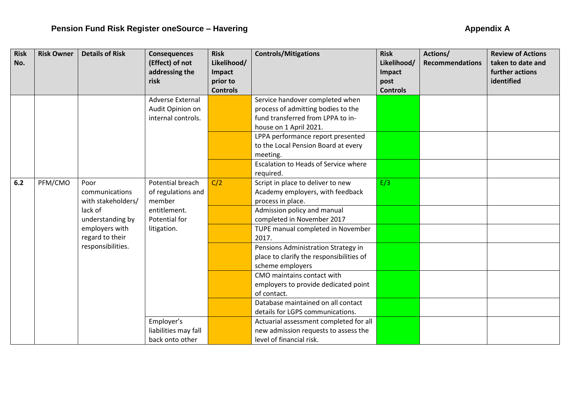| <b>Risk</b> | <b>Risk Owner</b> | <b>Details of Risk</b> | <b>Consequences</b>     | <b>Risk</b>     | <b>Controls/Mitigations</b>                 | <b>Risk</b>     | Actions/               | <b>Review of Actions</b> |
|-------------|-------------------|------------------------|-------------------------|-----------------|---------------------------------------------|-----------------|------------------------|--------------------------|
| No.         |                   |                        | (Effect) of not         | Likelihood/     |                                             | Likelihood/     | <b>Recommendations</b> | taken to date and        |
|             |                   |                        | addressing the          | Impact          |                                             | Impact          |                        | further actions          |
|             |                   |                        | risk                    | prior to        |                                             | post            |                        | identified               |
|             |                   |                        |                         | <b>Controls</b> |                                             | <b>Controls</b> |                        |                          |
|             |                   |                        | <b>Adverse External</b> |                 | Service handover completed when             |                 |                        |                          |
|             |                   |                        | Audit Opinion on        |                 | process of admitting bodies to the          |                 |                        |                          |
|             |                   |                        | internal controls.      |                 | fund transferred from LPPA to in-           |                 |                        |                          |
|             |                   |                        |                         |                 | house on 1 April 2021.                      |                 |                        |                          |
|             |                   |                        |                         |                 | LPPA performance report presented           |                 |                        |                          |
|             |                   |                        |                         |                 | to the Local Pension Board at every         |                 |                        |                          |
|             |                   |                        |                         |                 | meeting.                                    |                 |                        |                          |
|             |                   |                        |                         |                 | <b>Escalation to Heads of Service where</b> |                 |                        |                          |
|             |                   |                        |                         |                 | required.                                   |                 |                        |                          |
| 6.2         | PFM/CMO           | Poor                   | Potential breach        | C/2             | Script in place to deliver to new           | E/3             |                        |                          |
|             |                   | communications         | of regulations and      |                 | Academy employers, with feedback            |                 |                        |                          |
|             |                   | with stakeholders/     | member                  |                 | process in place.                           |                 |                        |                          |
|             |                   | lack of                | entitlement.            |                 | Admission policy and manual                 |                 |                        |                          |
|             |                   | understanding by       | Potential for           |                 | completed in November 2017                  |                 |                        |                          |
|             |                   | employers with         | litigation.             |                 | TUPE manual completed in November           |                 |                        |                          |
|             |                   | regard to their        |                         |                 | 2017.                                       |                 |                        |                          |
|             |                   | responsibilities.      |                         |                 | Pensions Administration Strategy in         |                 |                        |                          |
|             |                   |                        |                         |                 | place to clarify the responsibilities of    |                 |                        |                          |
|             |                   |                        |                         |                 | scheme employers                            |                 |                        |                          |
|             |                   |                        |                         |                 | CMO maintains contact with                  |                 |                        |                          |
|             |                   |                        |                         |                 | employers to provide dedicated point        |                 |                        |                          |
|             |                   |                        |                         |                 | of contact.                                 |                 |                        |                          |
|             |                   |                        |                         |                 | Database maintained on all contact          |                 |                        |                          |
|             |                   |                        |                         |                 | details for LGPS communications.            |                 |                        |                          |
|             |                   |                        | Employer's              |                 | Actuarial assessment completed for all      |                 |                        |                          |
|             |                   |                        | liabilities may fall    |                 | new admission requests to assess the        |                 |                        |                          |
|             |                   |                        | back onto other         |                 | level of financial risk.                    |                 |                        |                          |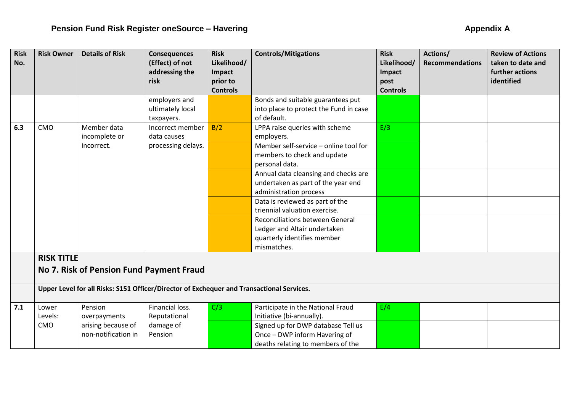| <b>Risk</b><br>No. | <b>Risk Owner</b>                                             | <b>Details of Risk</b>                                                                    | <b>Consequences</b><br>(Effect) of not<br>addressing the<br>risk | <b>Risk</b><br>Likelihood/<br>Impact<br>prior to<br><b>Controls</b> | <b>Controls/Mitigations</b>                                                                                          | <b>Risk</b><br>Likelihood/<br>Impact<br>post<br><b>Controls</b> | Actions/<br><b>Recommendations</b> | <b>Review of Actions</b><br>taken to date and<br>further actions<br>identified |
|--------------------|---------------------------------------------------------------|-------------------------------------------------------------------------------------------|------------------------------------------------------------------|---------------------------------------------------------------------|----------------------------------------------------------------------------------------------------------------------|-----------------------------------------------------------------|------------------------------------|--------------------------------------------------------------------------------|
|                    |                                                               |                                                                                           | employers and                                                    |                                                                     | Bonds and suitable guarantees put                                                                                    |                                                                 |                                    |                                                                                |
|                    |                                                               |                                                                                           | ultimately local<br>taxpayers.                                   |                                                                     | into place to protect the Fund in case<br>of default.                                                                |                                                                 |                                    |                                                                                |
| 6.3                | CMO                                                           | Member data<br>incomplete or                                                              | Incorrect member<br>data causes                                  | B/2                                                                 | LPPA raise queries with scheme<br>employers.                                                                         | E/3                                                             |                                    |                                                                                |
|                    |                                                               | incorrect.                                                                                | processing delays.                                               |                                                                     | Member self-service - online tool for<br>members to check and update<br>personal data.                               |                                                                 |                                    |                                                                                |
|                    |                                                               |                                                                                           |                                                                  |                                                                     | Annual data cleansing and checks are<br>undertaken as part of the year end<br>administration process                 |                                                                 |                                    |                                                                                |
|                    |                                                               |                                                                                           |                                                                  |                                                                     | Data is reviewed as part of the<br>triennial valuation exercise.                                                     |                                                                 |                                    |                                                                                |
|                    |                                                               |                                                                                           |                                                                  |                                                                     | <b>Reconciliations between General</b><br>Ledger and Altair undertaken<br>quarterly identifies member<br>mismatches. |                                                                 |                                    |                                                                                |
|                    | <b>RISK TITLE</b><br>No 7. Risk of Pension Fund Payment Fraud |                                                                                           |                                                                  |                                                                     |                                                                                                                      |                                                                 |                                    |                                                                                |
|                    |                                                               | Upper Level for all Risks: S151 Officer/Director of Exchequer and Transactional Services. |                                                                  |                                                                     |                                                                                                                      |                                                                 |                                    |                                                                                |
| 7.1                | Lower<br>Levels:                                              | Pension<br>overpayments                                                                   | Financial loss.<br>Reputational                                  | C/3                                                                 | Participate in the National Fraud<br>Initiative (bi-annually).                                                       | E/4                                                             |                                    |                                                                                |
|                    | CMO                                                           | arising because of<br>non-notification in                                                 | damage of<br>Pension                                             |                                                                     | Signed up for DWP database Tell us<br>Once - DWP inform Havering of<br>deaths relating to members of the             |                                                                 |                                    |                                                                                |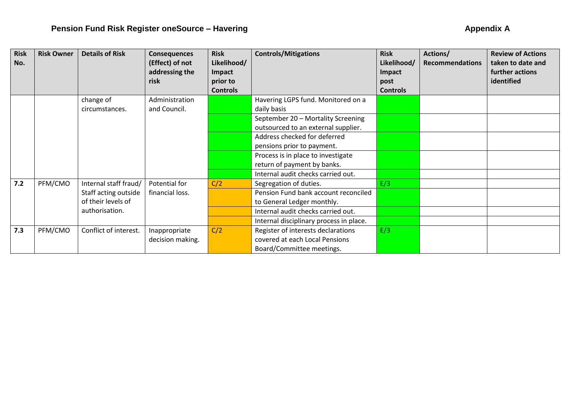| <b>Risk</b><br>No. | <b>Risk Owner</b> | <b>Details of Risk</b> | <b>Consequences</b><br>(Effect) of not | <b>Risk</b><br>Likelihood/ | <b>Controls/Mitigations</b>             | <b>Risk</b><br>Likelihood/ | Actions/<br><b>Recommendations</b> | <b>Review of Actions</b><br>taken to date and |
|--------------------|-------------------|------------------------|----------------------------------------|----------------------------|-----------------------------------------|----------------------------|------------------------------------|-----------------------------------------------|
|                    |                   |                        | addressing the                         | Impact                     |                                         | Impact                     |                                    | further actions                               |
|                    |                   |                        | risk                                   | prior to                   |                                         | post                       |                                    | identified                                    |
|                    |                   |                        |                                        | <b>Controls</b>            |                                         | <b>Controls</b>            |                                    |                                               |
|                    |                   | change of              | Administration                         |                            | Havering LGPS fund. Monitored on a      |                            |                                    |                                               |
|                    |                   | circumstances.         | and Council.                           |                            | daily basis                             |                            |                                    |                                               |
|                    |                   |                        |                                        |                            | September 20 - Mortality Screening      |                            |                                    |                                               |
|                    |                   |                        |                                        |                            | outsourced to an external supplier.     |                            |                                    |                                               |
|                    |                   |                        |                                        |                            | Address checked for deferred            |                            |                                    |                                               |
|                    |                   |                        |                                        |                            | pensions prior to payment.              |                            |                                    |                                               |
|                    |                   |                        |                                        |                            | Process is in place to investigate      |                            |                                    |                                               |
|                    |                   |                        |                                        |                            | return of payment by banks.             |                            |                                    |                                               |
|                    |                   |                        |                                        |                            | Internal audit checks carried out.      |                            |                                    |                                               |
| $7.2$              | PFM/CMO           | Internal staff fraud/  | Potential for                          | C/2                        | Segregation of duties.                  | E/3                        |                                    |                                               |
|                    |                   | Staff acting outside   | financial loss.                        |                            | Pension Fund bank account reconciled    |                            |                                    |                                               |
|                    |                   | of their levels of     |                                        |                            | to General Ledger monthly.              |                            |                                    |                                               |
|                    |                   | authorisation.         |                                        |                            | Internal audit checks carried out.      |                            |                                    |                                               |
|                    |                   |                        |                                        |                            | Internal disciplinary process in place. |                            |                                    |                                               |
| 7.3                | PFM/CMO           | Conflict of interest.  | Inappropriate                          | C/2                        | Register of interests declarations      | E/3                        |                                    |                                               |
|                    |                   |                        | decision making.                       |                            | covered at each Local Pensions          |                            |                                    |                                               |
|                    |                   |                        |                                        |                            | Board/Committee meetings.               |                            |                                    |                                               |